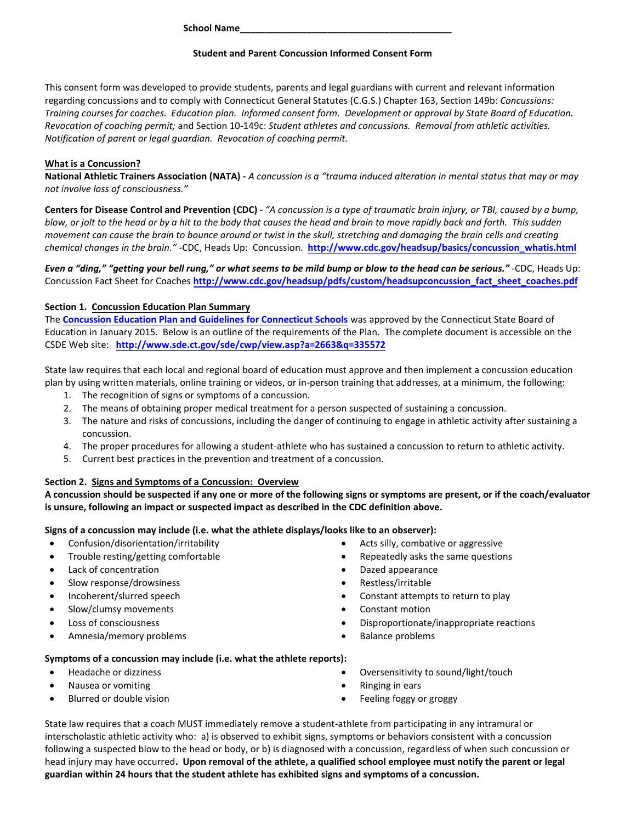**School Name\_\_\_\_\_\_\_\_\_\_\_\_\_\_\_\_\_\_\_\_\_\_\_\_\_\_\_\_\_\_\_\_\_\_\_\_\_\_\_\_\_** 

#### **Student and Parent Concussion Informed Consent Form**

This consent form was developed to provide students, parents and legal guardians with current and relevant information regarding concussions and to comply with Connecticut General Statutes (C.G.S.) Chapter 163, Section 149b: *Concussions: Training courses for coaches. Education plan. Informed consent form. Development or approval by State Board of Education. Revocation of coaching permit;* and Section 10-149c: *Student athletes and concussions. Removal from athletic activities. Notification of parent or legal guardian. Revocation of coaching permit.*

### **What is a Concussion?**

**National Athletic Trainers Association (NATA) -** *A concussion is a "trauma induced alteration in mental status that may or may not involve loss of consciousness."*

**Centers for Disease Control and Prevention (CDC)** - *"A concussion is a type of traumatic brain injury, or TBI, caused by a bump, blow, or jolt to the head or by a hit to the body that causes the head and brain to move rapidly back and forth. This sudden movement can cause the brain to bounce around or twist in the skull, stretching and damaging the brain cells and creating chemical changes in the brain."* -CDC, Heads Up: Concussion. **[http://www.cdc.gov/headsup/basics/concussion\\_whatis.html](http://www.cdc.gov/headsup/basics/concussion_whatis.html)**

*Even a "ding," "getting your bell rung," or what seems to be mild bump or blow to the head can be serious."* -CDC, Heads Up: Concussion Fact Sheet for Coaches **[http://www.cdc.gov/headsup/pdfs/custom/headsupconcussion\\_fact\\_sheet\\_coaches.pdf](http://www.cdc.gov/headsup/pdfs/custom/headsupconcussion_fact_sheet_coaches.pdf)**

## **Section 1. Concussion Education Plan Summary**

The **[Concussion Education Plan and Guidelines for Connecticut Schools](http://www.sde.ct.gov/sde/cwp/view.asp?a=2663&q=335572)** was approved by the Connecticut State Board of Education in January 2015. Below is an outline of the requirements of the Plan. The complete document is accessible on the CSDE Web site: **<http://www.sde.ct.gov/sde/cwp/view.asp?a=2663&q=335572>**

State law requires that each local and regional board of education must approve and then implement a concussion education plan by using written materials, online training or videos, or in-person training that addresses, at a minimum, the following:

- 1. The recognition of signs or symptoms of a concussion.
- 2. The means of obtaining proper medical treatment for a person suspected of sustaining a concussion.
- 3. The nature and risks of concussions, including the danger of continuing to engage in athletic activity after sustaining a concussion.
- 4. The proper procedures for allowing a student-athlete who has sustained a concussion to return to athletic activity.
- 5. Current best practices in the prevention and treatment of a concussion.

#### **Section 2. Signs and Symptoms of a Concussion: Overview**

**A concussion should be suspected if any one or more of the following signs or symptoms are present, or if the coach/evaluator is unsure, following an impact or suspected impact as described in the CDC definition above.** 

#### **Signs of a concussion may include (i.e. what the athlete displays/looks like to an observer):**

- Confusion/disorientation/irritability
- Trouble resting/getting comfortable
- Lack of concentration
- Slow response/drowsiness
- Incoherent/slurred speech
- Slow/clumsy movements
- Loss of consciousness
- Amnesia/memory problems
- Acts silly, combative or aggressive
- Repeatedly asks the same questions
- Dazed appearance
- Restless/irritable
- Constant attempts to return to play
- Constant motion
- Disproportionate/inappropriate reactions
- Balance problems

#### **Symptoms of a concussion may include (i.e. what the athlete reports):**

- Headache or dizziness
- Nausea or vomiting
- Blurred or double vision
- Oversensitivity to sound/light/touch
- Ringing in ears
- Feeling foggy or groggy

State law requires that a coach MUST immediately remove a student-athlete from participating in any intramural or interscholastic athletic activity who: a) is observed to exhibit signs, symptoms or behaviors consistent with a concussion following a suspected blow to the head or body, or b) is diagnosed with a concussion, regardless of when such concussion or head injury may have occurred**. Upon removal of the athlete, a qualified school employee must notify the parent or legal guardian within 24 hours that the student athlete has exhibited signs and symptoms of a concussion.**